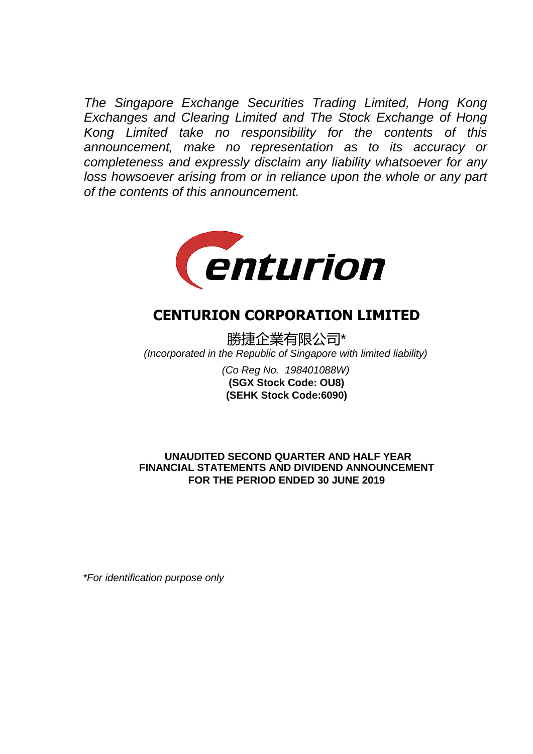*The Singapore Exchange Securities Trading Limited, Hong Kong Exchanges and Clearing Limited and The Stock Exchange of Hong Kong Limited take no responsibility for the contents of this announcement, make no representation as to its accuracy or completeness and expressly disclaim any liability whatsoever for any loss howsoever arising from or in reliance upon the whole or any part of the contents of this announcement.*



# **CENTURION CORPORATION LIMITED**

勝捷企業有限公司\* *(Incorporated in the Republic of Singapore with limited liability)*

> *(Co Reg No. 198401088W)* **(SEHK Stock Code:6090) (SGX Stock Code: OU8)**

 **UNAUDITED SECOND QUARTER AND HALF YEAR FOR THE PERIOD ENDED 30 JUNE 2019 FINANCIAL STATEMENTS AND DIVIDEND ANNOUNCEMENT**

*\*For identification purpose only*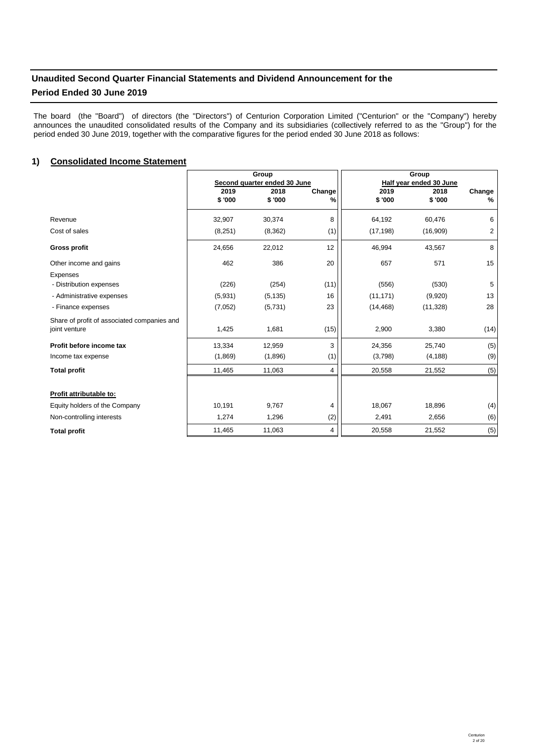# **Unaudited Second Quarter Financial Statements and Dividend Announcement for the**

# **Period Ended 30 June 2019**

The board (the "Board") of directors (the "Directors") of Centurion Corporation Limited ("Centurion" or the "Company") hereby announces the unaudited consolidated results of the Company and its subsidiaries (collectively referred to as the "Group") for the period ended 30 June 2019, together with the comparative figures for the period ended 30 June 2018 as follows:

# 1) Consolidated Income Statement and the control of the control of the control of the control of the control of the control of the control of the control of the control of the control of the control of the control of the c

|                                             |                | Group                        |             | Group          |                         |             |
|---------------------------------------------|----------------|------------------------------|-------------|----------------|-------------------------|-------------|
|                                             |                | Second quarter ended 30 June |             |                | Half year ended 30 June |             |
|                                             | 2019<br>\$'000 | 2018<br>\$'000               | Change<br>% | 2019<br>\$'000 | 2018<br>\$'000          | Change<br>% |
|                                             |                |                              |             |                |                         |             |
| Revenue                                     | 32,907         | 30,374                       | 8           | 64,192         | 60,476                  | 6           |
| Cost of sales                               | (8,251)        | (8,362)                      | (1)         | (17, 198)      | (16,909)                | 2           |
| <b>Gross profit</b>                         | 24,656         | 22,012                       | 12          | 46,994         | 43,567                  | 8           |
| Other income and gains                      | 462            | 386                          | 20          | 657            | 571                     | 15          |
| <b>Expenses</b>                             |                |                              |             |                |                         |             |
| - Distribution expenses                     | (226)          | (254)                        | (11)        | (556)          | (530)                   | 5           |
| - Administrative expenses                   | (5,931)        | (5, 135)                     | 16          | (11, 171)      | (9,920)                 | 13          |
| - Finance expenses                          | (7,052)        | (5,731)                      | 23          | (14, 468)      | (11, 328)               | 28          |
| Share of profit of associated companies and |                |                              |             |                |                         |             |
| joint venture                               | 1,425          | 1,681                        | (15)        | 2,900          | 3,380                   | (14)        |
| Profit before income tax                    | 13,334         | 12,959                       | 3           | 24,356         | 25,740                  | (5)         |
| Income tax expense                          | (1,869)        | (1,896)                      | (1)         | (3,798)        | (4, 188)                | (9)         |
| <b>Total profit</b>                         | 11,465         | 11,063                       | 4           | 20,558         | 21,552                  | (5)         |
|                                             |                |                              |             |                |                         |             |
| Profit attributable to:                     |                |                              |             |                |                         |             |
| Equity holders of the Company               | 10,191         | 9,767                        | 4           | 18,067         | 18,896                  | (4)         |
| Non-controlling interests                   | 1,274          | 1,296                        | (2)         | 2,491          | 2,656                   | (6)         |
| <b>Total profit</b>                         | 11,465         | 11,063                       | 4           | 20,558         | 21,552                  | (5)         |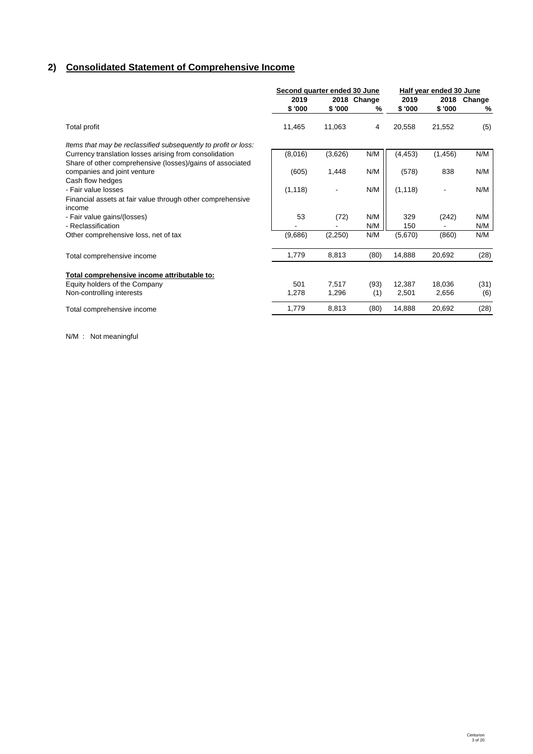# **2) Consolidated Statement of Comprehensive Income**

|                                                                | Second quarter ended 30 June |         |             | Half year ended 30 June |          |        |
|----------------------------------------------------------------|------------------------------|---------|-------------|-------------------------|----------|--------|
|                                                                | 2019                         |         | 2018 Change | 2019                    | 2018     | Change |
|                                                                | \$ '000                      | \$'000  | %           | \$ '000                 | \$ '000  | %      |
| Total profit                                                   | 11,465                       | 11,063  | 4           | 20,558                  | 21,552   | (5)    |
| Items that may be reclassified subsequently to profit or loss: |                              |         |             |                         |          |        |
| Currency translation losses arising from consolidation         | (8,016)                      | (3,626) | N/M         | (4, 453)                | (1, 456) | N/M    |
| Share of other comprehensive (losses)/gains of associated      |                              |         |             |                         |          |        |
| companies and joint venture                                    | (605)                        | 1,448   | N/M         | (578)                   | 838      | N/M    |
| Cash flow hedges                                               |                              |         |             |                         |          |        |
| - Fair value losses                                            | (1, 118)                     |         | N/M         | (1, 118)                |          | N/M    |
| Financial assets at fair value through other comprehensive     |                              |         |             |                         |          |        |
| income                                                         |                              |         |             |                         |          |        |
| - Fair value gains/(losses)                                    | 53                           | (72)    | N/M         | 329                     | (242)    | N/M    |
| - Reclassification                                             |                              |         | N/M         | 150                     |          | N/M    |
| Other comprehensive loss, net of tax                           | (9,686)                      | (2,250) | N/M         | (5,670)                 | (860)    | N/M    |
| Total comprehensive income                                     | 1,779                        | 8,813   | (80)        | 14,888                  | 20,692   | (28)   |
| Total comprehensive income attributable to:                    |                              |         |             |                         |          |        |
| Equity holders of the Company                                  | 501                          | 7,517   | (93)        | 12,387                  | 18,036   | (31)   |
| Non-controlling interests                                      | 1,278                        | 1,296   | (1)         | 2,501                   | 2,656    | (6)    |
| Total comprehensive income                                     | 1,779                        | 8,813   | (80)        | 14,888                  | 20,692   | (28)   |

N/M : Not meaningful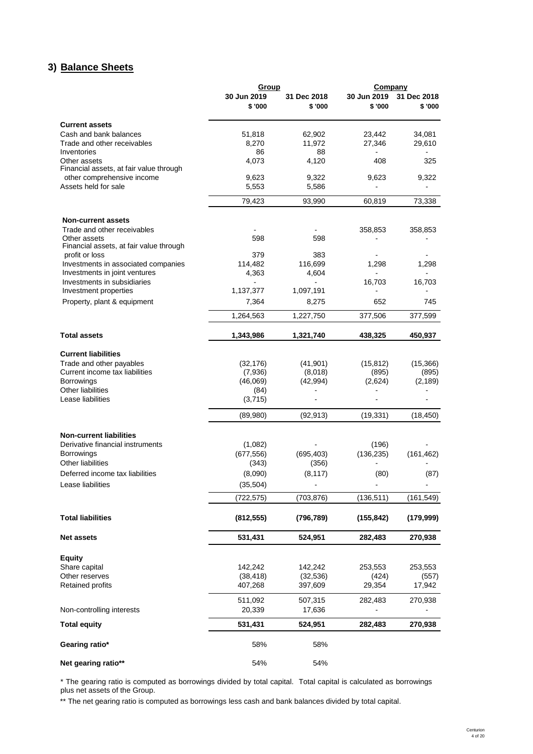# **3) Balance Sheets Balance Sheet**

|                                         | Group                  |                        | Company               |                        |
|-----------------------------------------|------------------------|------------------------|-----------------------|------------------------|
|                                         | 30 Jun 2019<br>\$ '000 | 31 Dec 2018<br>\$ '000 | 30 Jun 2019<br>\$'000 | 31 Dec 2018<br>\$ '000 |
| <b>Current assets</b>                   |                        |                        |                       |                        |
| Cash and bank balances                  | 51,818                 | 62,902                 | 23,442                | 34,081                 |
| Trade and other receivables             | 8,270                  | 11,972                 | 27,346                | 29,610                 |
| Inventories                             | 86                     | 88                     |                       |                        |
| Other assets                            | 4,073                  | 4,120                  | 408                   | 325                    |
| Financial assets, at fair value through |                        |                        |                       |                        |
| other comprehensive income              | 9,623                  | 9,322                  | 9,623                 | 9,322                  |
| Assets held for sale                    | 5,553                  | 5,586                  |                       |                        |
|                                         | 79,423                 | 93.990                 | 60,819                | 73,338                 |
| <b>Non-current assets</b>               |                        |                        |                       |                        |
| Trade and other receivables             |                        |                        | 358,853               | 358,853                |
| Other assets                            | 598                    | 598                    |                       |                        |
| Financial assets, at fair value through |                        |                        |                       |                        |
| profit or loss                          | 379                    | 383                    |                       |                        |
| Investments in associated companies     | 114,482                | 116,699                | 1,298                 | 1,298                  |
| Investments in joint ventures           | 4,363                  | 4,604                  |                       |                        |
| Investments in subsidiaries             |                        |                        | 16,703                | 16,703                 |
| Investment properties                   | 1,137,377              | 1,097,191              |                       |                        |
| Property, plant & equipment             | 7,364                  | 8,275                  | 652                   | 745                    |
|                                         | 1,264,563              | 1,227,750              | 377,506               | 377,599                |
| <b>Total assets</b>                     | 1,343,986              | 1,321,740              | 438,325               | 450,937                |
|                                         |                        |                        |                       |                        |
| <b>Current liabilities</b>              |                        |                        |                       |                        |
| Trade and other payables                | (32, 176)              | (41, 901)              | (15, 812)             | (15, 366)              |
| Current income tax liabilities          | (7,936)                | (8,018)                | (895)                 | (895)                  |
| <b>Borrowings</b>                       | (46,069)               | (42, 994)              | (2,624)               | (2, 189)               |
| Other liabilities                       | (84)                   |                        |                       |                        |
| Lease liabilities                       | (3,715)                |                        |                       |                        |
|                                         | (89,980)               | (92, 913)              | (19, 331)             | (18, 450)              |
| <b>Non-current liabilities</b>          |                        |                        |                       |                        |
| Derivative financial instruments        | (1,082)                |                        | (196)                 |                        |
| <b>Borrowings</b>                       | (677, 556)             | (695, 403)             | (136, 235)            | (161, 462)             |
| Other liabilities                       | (343)                  | (356)                  |                       |                        |
| Deferred income tax liabilities         | (8,090)                | (8, 117)               | (80)                  | (87)                   |
| Lease liabilities                       | (35, 504)              |                        |                       |                        |
|                                         | (722,575)              | (703, 876)             | (136, 511)            | (161, 549)             |
| <b>Total liabilities</b>                | (812, 555)             | (796, 789)             | (155, 842)            | (179, 999)             |
|                                         |                        |                        |                       |                        |
| <b>Net assets</b>                       | 531,431                | 524,951                | 282,483               | 270,938                |
| <b>Equity</b>                           |                        |                        |                       |                        |
| Share capital                           | 142,242                | 142,242                | 253,553               | 253,553                |
| Other reserves                          | (38, 418)              | (32, 536)              | (424)                 | (557)                  |
| <b>Retained profits</b>                 | 407,268                | 397,609                | 29,354                | 17,942                 |
|                                         | 511,092                | 507,315                | 282,483               | 270,938                |
| Non-controlling interests               | 20,339                 | 17,636                 |                       |                        |
| <b>Total equity</b>                     | 531,431                | 524,951                | 282,483               | 270,938                |
| Gearing ratio*                          | 58%                    | 58%                    |                       |                        |
| Net gearing ratio**                     | 54%                    | 54%                    |                       |                        |

\* The gearing ratio is computed as borrowings divided by total capital. Total capital is calculated as borrowings plus net assets of the Group.

\*\* The net gearing ratio is computed as borrowings less cash and bank balances divided by total capital.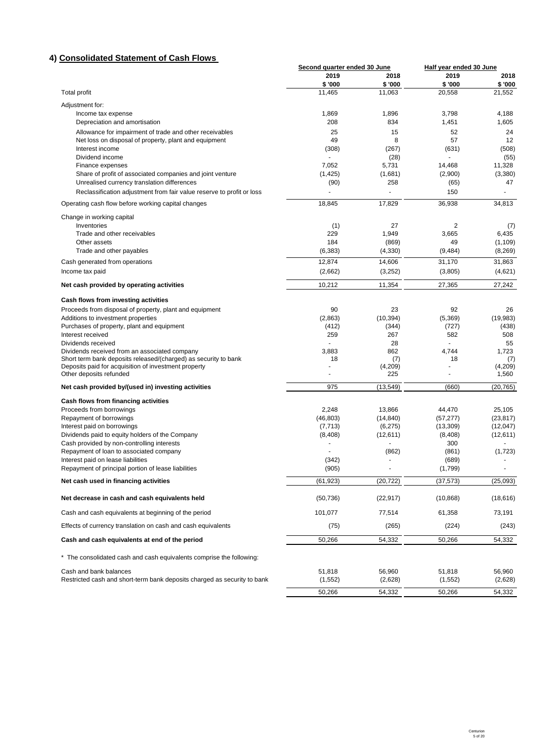# **4) Consolidated Statement of Cash Flows**

|                                                                                              | Second quarter ended 30 June |                | Half year ended 30 June |           |
|----------------------------------------------------------------------------------------------|------------------------------|----------------|-------------------------|-----------|
|                                                                                              | 2019                         | 2018           | 2019                    | 2018      |
|                                                                                              | \$'000                       | \$'000         | \$'000                  | \$'000    |
| <b>Total profit</b>                                                                          | 11,465                       | 11,063         | 20,558                  | 21,552    |
| Adjustment for:                                                                              |                              |                |                         |           |
| Income tax expense                                                                           | 1,869                        | 1,896          | 3,798                   | 4,188     |
| Depreciation and amortisation                                                                | 208                          | 834            | 1,451                   | 1,605     |
| Allowance for impairment of trade and other receivables                                      | 25                           | 15             | 52                      | 24        |
| Net loss on disposal of property, plant and equipment                                        | 49                           | 8              | 57                      | 12        |
| Interest income                                                                              | (308)                        | (267)          | (631)                   | (508)     |
| Dividend income                                                                              |                              | (28)           |                         | (55)      |
| Finance expenses                                                                             | 7,052                        | 5,731          | 14,468                  | 11,328    |
| Share of profit of associated companies and joint venture                                    | (1, 425)                     | (1,681)        | (2,900)                 | (3,380)   |
| Unrealised currency translation differences                                                  | (90)                         | 258            | (65)                    | 47        |
| Reclassification adjustment from fair value reserve to profit or loss                        | $\overline{a}$               | $\overline{a}$ | 150                     |           |
| Operating cash flow before working capital changes                                           | 18,845                       | 17,829         | 36,938                  | 34,813    |
| Change in working capital                                                                    |                              |                |                         |           |
| Inventories                                                                                  | (1)                          | 27             | $\overline{2}$          | (7)       |
| Trade and other receivables                                                                  | 229                          | 1,949          | 3,665                   | 6,435     |
| Other assets                                                                                 | 184                          | (869)          | 49                      | (1, 109)  |
| Trade and other payables                                                                     | (6, 383)                     | (4, 330)       | (9, 484)                | (8, 269)  |
| Cash generated from operations                                                               | 12,874                       | 14,606         | 31,170                  | 31,863    |
| Income tax paid                                                                              | (2,662)                      | (3,252)        | (3,805)                 | (4,621)   |
| Net cash provided by operating activities                                                    | 10,212                       | 11,354         | 27,365                  | 27,242    |
| Cash flows from investing activities                                                         |                              |                |                         |           |
| Proceeds from disposal of property, plant and equipment                                      | 90                           | 23             | 92                      | 26        |
| Additions to investment properties                                                           | (2,863)                      | (10, 394)      | (5,369)                 | (19,983)  |
| Purchases of property, plant and equipment                                                   | (412)                        | (344)          | (727)                   | (438)     |
| Interest received                                                                            | 259                          | 267            | 582                     | 508       |
| Dividends received                                                                           |                              | 28             |                         | 55        |
| Dividends received from an associated company                                                | 3,883                        | 862            | 4,744                   | 1,723     |
| Short term bank deposits released/(charged) as security to bank                              | 18                           | (7)            | 18                      | (7)       |
| Deposits paid for acquisition of investment property                                         |                              | (4,209)        |                         | (4,209)   |
| Other deposits refunded                                                                      | $\overline{a}$               | 225            |                         | 1,560     |
| Net cash provided by/(used in) investing activities                                          | 975                          | (13, 549)      | (660)                   | (20, 765) |
| Cash flows from financing activities                                                         |                              |                |                         |           |
| Proceeds from borrowings                                                                     | 2,248                        | 13,866         | 44,470                  | 25,105    |
| Repayment of borrowings                                                                      | (46, 803)                    | (14, 840)      | (57, 277)               | (23, 817) |
| Interest paid on borrowings                                                                  | (7, 713)                     | (6,275)        | (13,309)                | (12,047)  |
| Dividends paid to equity holders of the Company                                              | (8,408)                      | (12,611)       | (8, 408)                | (12,611)  |
| Cash provided by non-controlling interests                                                   |                              |                | 300                     |           |
| Repayment of loan to associated company                                                      |                              | (862)          | (861)                   | (1, 723)  |
| Interest paid on lease liabilities                                                           | (342)                        | $\blacksquare$ | (689)                   |           |
| Repayment of principal portion of lease liabilities<br>Net cash used in financing activities | (905)<br>(61, 923)           | (20, 722)      | (1,799)<br>(37, 573)    | (25,093)  |
|                                                                                              |                              |                |                         |           |
| Net decrease in cash and cash equivalents held                                               | (50, 736)                    | (22, 917)      | (10, 868)               | (18, 616) |
| Cash and cash equivalents at beginning of the period                                         | 101,077                      | 77,514         | 61,358                  | 73,191    |
| Effects of currency translation on cash and cash equivalents                                 | (75)                         | (265)          | (224)                   | (243)     |
| Cash and cash equivalents at end of the period                                               | 50,266                       | 54,332         | 50,266                  | 54,332    |
| * The consolidated cash and cash equivalents comprise the following:                         |                              |                |                         |           |
| Cash and bank balances                                                                       | 51,818                       | 56,960         | 51,818                  | 56,960    |
| Restricted cash and short-term bank deposits charged as security to bank                     | (1, 552)                     | (2,628)        | (1, 552)                | (2,628)   |
|                                                                                              |                              |                |                         |           |
|                                                                                              | 50,266                       | 54,332         | 50,266                  | 54,332    |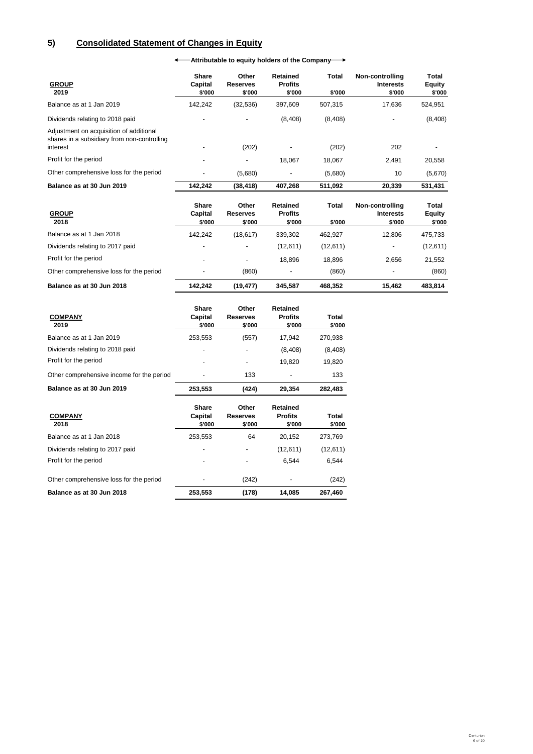# **5) Consolidated Statement of Changes in Equity**

**Attributable to equity holders of the Company**

| <b>GROUP</b><br>2019                                                                               | <b>Share</b><br>Capital<br>\$'000 | Other<br><b>Reserves</b><br>\$'000 | <b>Retained</b><br><b>Profits</b><br>\$'000 | Total<br>\$'000        | Non-controlling<br><b>Interests</b><br>\$'000 | Total<br>Equity<br>\$'000               |
|----------------------------------------------------------------------------------------------------|-----------------------------------|------------------------------------|---------------------------------------------|------------------------|-----------------------------------------------|-----------------------------------------|
| Balance as at 1 Jan 2019                                                                           | 142,242                           | (32, 536)                          | 397,609                                     | 507,315                | 17,636                                        | 524,951                                 |
| Dividends relating to 2018 paid                                                                    |                                   |                                    | (8,408)                                     | (8,408)                |                                               | (8, 408)                                |
| Adjustment on acquisition of additional<br>shares in a subsidiary from non-controlling<br>interest |                                   | (202)                              |                                             | (202)                  | 202                                           |                                         |
| Profit for the period                                                                              |                                   |                                    | 18,067                                      | 18,067                 | 2,491                                         | 20,558                                  |
| Other comprehensive loss for the period                                                            |                                   | (5,680)                            |                                             | (5,680)                | 10                                            | (5,670)                                 |
| Balance as at 30 Jun 2019                                                                          | 142,242                           | (38, 418)                          | 407,268                                     | 511,092                | 20,339                                        | 531,431                                 |
| <b>GROUP</b><br>2018                                                                               | Share<br>Capital<br>\$'000        | Other<br><b>Reserves</b><br>\$'000 | <b>Retained</b><br><b>Profits</b><br>\$'000 | <b>Total</b><br>\$'000 | Non-controlling<br><b>Interests</b><br>\$'000 | <b>Total</b><br><b>Equity</b><br>\$'000 |
| Balance as at 1 Jan 2018                                                                           | 142,242                           | (18, 617)                          | 339,302                                     | 462,927                | 12,806                                        | 475,733                                 |
| Dividends relating to 2017 paid                                                                    |                                   |                                    | (12, 611)                                   | (12,611)               | $\overline{\phantom{a}}$                      | (12, 611)                               |
| Profit for the period                                                                              |                                   |                                    | 18,896                                      | 18,896                 | 2,656                                         | 21,552                                  |
| Other comprehensive loss for the period                                                            |                                   | (860)                              |                                             | (860)                  |                                               | (860)                                   |
| Balance as at 30 Jun 2018                                                                          | 142,242                           | (19, 477)                          | 345,587                                     | 468,352                | 15,462                                        | 483,814                                 |

| <b>COMPANY</b><br>2019                    | <b>Share</b><br>Capital<br>\$'000 | Other<br><b>Reserves</b><br>\$'000 | <b>Retained</b><br><b>Profits</b><br>\$'000 | Total<br>\$'000 |
|-------------------------------------------|-----------------------------------|------------------------------------|---------------------------------------------|-----------------|
| Balance as at 1 Jan 2019                  | 253,553                           | (557)                              | 17,942                                      | 270,938         |
| Dividends relating to 2018 paid           |                                   |                                    | (8, 408)                                    | (8,408)         |
| Profit for the period                     |                                   |                                    | 19,820                                      | 19,820          |
| Other comprehensive income for the period |                                   | 133                                |                                             | 133             |
| Balance as at 30 Jun 2019                 | 253,553                           | (424)                              | 29,354                                      | 282,483         |
| <b>COMPANY</b><br>2018                    | <b>Share</b><br>Capital<br>\$'000 | Other<br><b>Reserves</b><br>\$'000 | <b>Retained</b><br><b>Profits</b><br>\$'000 | Total<br>\$'000 |
| Balance as at 1 Jan 2018                  | 253,553                           | 64                                 | 20,152                                      | 273,769         |
| Dividends relating to 2017 paid           |                                   |                                    | (12, 611)                                   | (12,611)        |
| Profit for the period                     |                                   |                                    | 6,544                                       | 6,544           |
| Other comprehensive loss for the period   |                                   | (242)                              |                                             | (242)           |
| Balance as at 30 Jun 2018                 | 253,553                           | (178)                              | 14,085                                      | 267,460         |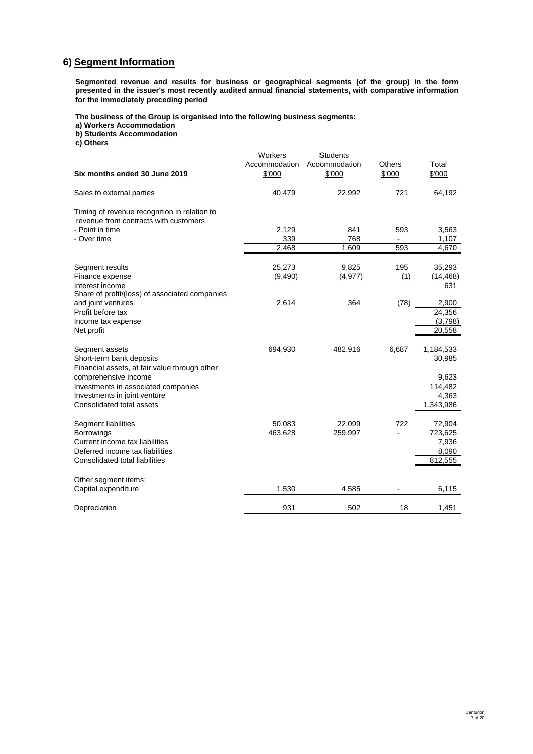# **6) Segment Information**

**Segmented revenue and results for business or geographical segments (of the group) in the form presented in the issuer's most recently audited annual financial statements, with comparative information for the immediately preceding period**

**The business of the Group is organised into the following business segments:**

**a) Workers Accommodation**

**b) Students Accommodation**

**c) Others**

| Six months ended 30 June 2019                                                                                                                                                                                           | Workers<br>Accommodation<br>\$'000 | <b>Students</b><br>Accommodation<br>\$'000 | Others<br>\$'000                       | Total<br>\$'000                                               |
|-------------------------------------------------------------------------------------------------------------------------------------------------------------------------------------------------------------------------|------------------------------------|--------------------------------------------|----------------------------------------|---------------------------------------------------------------|
| Sales to external parties                                                                                                                                                                                               | 40,479                             | 22,992                                     | 721                                    | 64,192                                                        |
| Timing of revenue recognition in relation to<br>revenue from contracts with customers<br>- Point in time<br>- Over time                                                                                                 | 2,129<br>339<br>2,468              | 841<br>768<br>1,609                        | 593<br>$\overline{\phantom{a}}$<br>593 | 3,563<br>1,107<br>4,670                                       |
| Segment results<br>Finance expense<br>Interest income<br>Share of profit/(loss) of associated companies                                                                                                                 | 25,273<br>(9,490)                  | 9,825<br>(4, 977)                          | 195<br>(1)                             | 35,293<br>(14, 468)<br>631                                    |
| and joint ventures<br>Profit before tax<br>Income tax expense<br>Net profit                                                                                                                                             | 2,614                              | 364                                        | (78)                                   | 2,900<br>24,356<br>(3,798)<br>20,558                          |
| Segment assets<br>Short-term bank deposits<br>Financial assets, at fair value through other<br>comprehensive income<br>Investments in associated companies<br>Investments in joint venture<br>Consolidated total assets | 694,930                            | 482,916                                    | 6,687                                  | 1,184,533<br>30,985<br>9,623<br>114,482<br>4,363<br>1,343,986 |
| Segment liabilities<br><b>Borrowings</b><br>Current income tax liabilities<br>Deferred income tax liabilities<br>Consolidated total liabilities                                                                         | 50,083<br>463,628                  | 22,099<br>259,997                          | 722                                    | 72,904<br>723,625<br>7,936<br>8,090<br>812,555                |
| Other segment items:<br>Capital expenditure                                                                                                                                                                             | 1,530                              | 4,585                                      |                                        | 6,115                                                         |
| Depreciation                                                                                                                                                                                                            | 931                                | 502                                        | 18                                     | 1,451                                                         |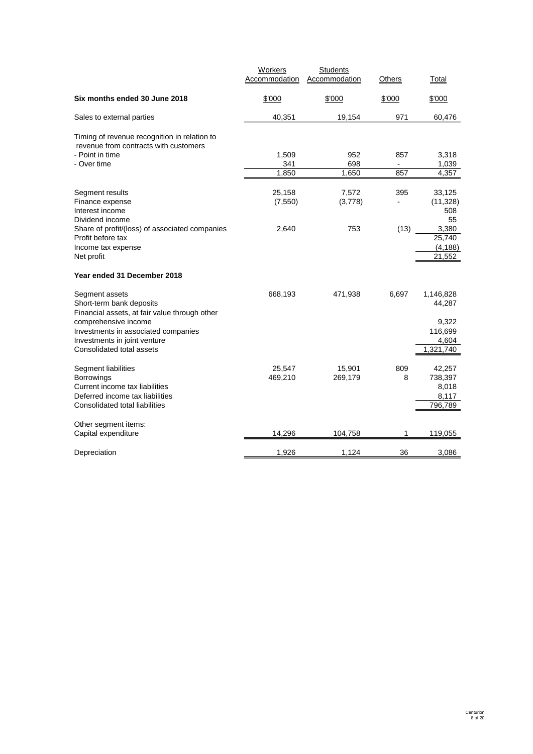|                                                                                                                                          | <b>Workers</b><br>Accommodation | <b>Students</b><br>Accommodation | Others     | Total                                          |
|------------------------------------------------------------------------------------------------------------------------------------------|---------------------------------|----------------------------------|------------|------------------------------------------------|
| Six months ended 30 June 2018                                                                                                            | \$'000                          | \$'000                           | \$'000     | \$'000                                         |
| Sales to external parties                                                                                                                | 40,351                          | 19,154                           | 971        | 60,476                                         |
| Timing of revenue recognition in relation to<br>revenue from contracts with customers<br>- Point in time<br>- Over time                  | 1,509<br>341<br>1.850           | 952<br>698<br>1,650              | 857<br>857 | 3,318<br>1,039<br>4,357                        |
| Segment results<br>Finance expense<br>Interest income<br>Dividend income                                                                 | 25,158<br>(7, 550)              | 7,572<br>(3,778)                 | 395        | 33,125<br>(11, 328)<br>508<br>55               |
| Share of profit/(loss) of associated companies<br>Profit before tax<br>Income tax expense<br>Net profit                                  | 2,640                           | 753                              | (13)       | 3,380<br>25,740<br>(4, 188)<br>21,552          |
| Year ended 31 December 2018                                                                                                              |                                 |                                  |            |                                                |
| Segment assets<br>Short-term bank deposits<br>Financial assets, at fair value through other                                              | 668,193                         | 471,938                          | 6,697      | 1,146,828<br>44,287                            |
| comprehensive income<br>Investments in associated companies<br>Investments in joint venture<br>Consolidated total assets                 |                                 |                                  |            | 9,322<br>116,699<br>4,604<br>1,321,740         |
| Segment liabilities<br>Borrowings<br>Current income tax liabilities<br>Deferred income tax liabilities<br>Consolidated total liabilities | 25,547<br>469,210               | 15,901<br>269,179                | 809<br>8   | 42,257<br>738,397<br>8,018<br>8,117<br>796,789 |
| Other segment items:<br>Capital expenditure                                                                                              | 14,296                          | 104,758                          | 1          | 119,055                                        |
| Depreciation                                                                                                                             | 1,926                           | 1,124                            | 36         | 3,086                                          |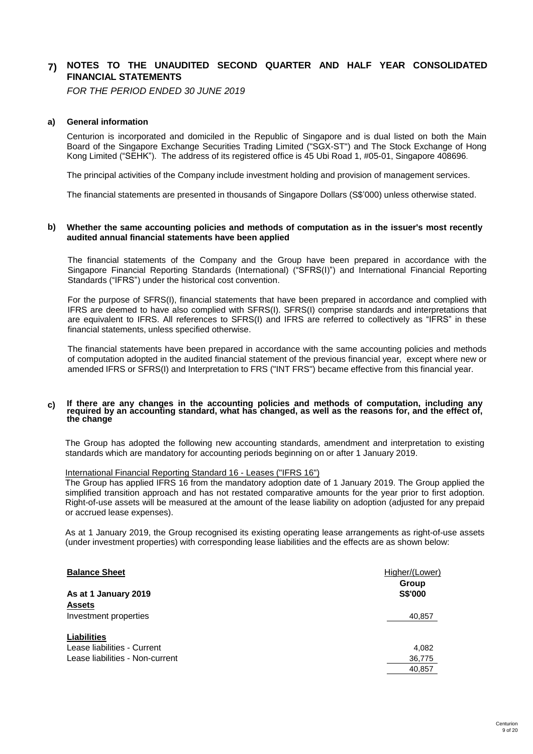#### **7) NOTES TO THE UNAUDITED SECOND QUARTER AND HALF YEAR CONSOLIDATED FINANCIAL STATEMENTS**

*FOR THE PERIOD ENDED 30 JUNE 2019*

# **a) General information**

Centurion is incorporated and domiciled in the Republic of Singapore and is dual listed on both the Main Board of the Singapore Exchange Securities Trading Limited ("SGX-ST") and The Stock Exchange of Hong Kong Limited ("SEHK"). The address of its registered office is 45 Ubi Road 1, #05-01, Singapore 408696.

The principal activities of the Company include investment holding and provision of management services.

The financial statements are presented in thousands of Singapore Dollars (S\$'000) unless otherwise stated.

#### **b) Whether the same accounting policies and methods of computation as in the issuer's most recently audited annual financial statements have been applied**

The financial statements of the Company and the Group have been prepared in accordance with the Singapore Financial Reporting Standards (International) ("SFRS(I)") and International Financial Reporting Standards ("IFRS") under the historical cost convention.

For the purpose of SFRS(I), financial statements that have been prepared in accordance and complied with IFRS are deemed to have also complied with SFRS(I). SFRS(I) comprise standards and interpretations that are equivalent to IFRS. All references to SFRS(I) and IFRS are referred to collectively as "IFRS" in these financial statements, unless specified otherwise.

The financial statements have been prepared in accordance with the same accounting policies and methods of computation adopted in the audited financial statement of the previous financial year, except where new or amended IFRS or SFRS(I) and Interpretation to FRS ("INT FRS") became effective from this financial year.

#### **c) If there are any changes in the accounting policies and methods of computation, including any** required by an accounting standard, what has changed, as well as the reasons for, and the effect of, **the change**

The Group has adopted the following new accounting standards, amendment and interpretation to existing standards which are mandatory for accounting periods beginning on or after 1 January 2019.

# International Financial Reporting Standard 16 - Leases ("IFRS 16")

The Group has applied IFRS 16 from the mandatory adoption date of 1 January 2019. The Group applied the simplified transition approach and has not restated comparative amounts for the year prior to first adoption. Right-of-use assets will be measured at the amount of the lease liability on adoption (adjusted for any prepaid or accrued lease expenses).

As at 1 January 2019, the Group recognised its existing operating lease arrangements as right-of-use assets (under investment properties) with corresponding lease liabilities and the effects are as shown below:

| <b>Balance Sheet</b>            | Higher/(Lower) |
|---------------------------------|----------------|
|                                 | Group          |
| As at 1 January 2019            | S\$'000        |
| <b>Assets</b>                   |                |
| Investment properties           | 40,857         |
| <b>Liabilities</b>              |                |
| Lease liabilities - Current     | 4,082          |
| Lease liabilities - Non-current | 36,775         |
|                                 | 40.857         |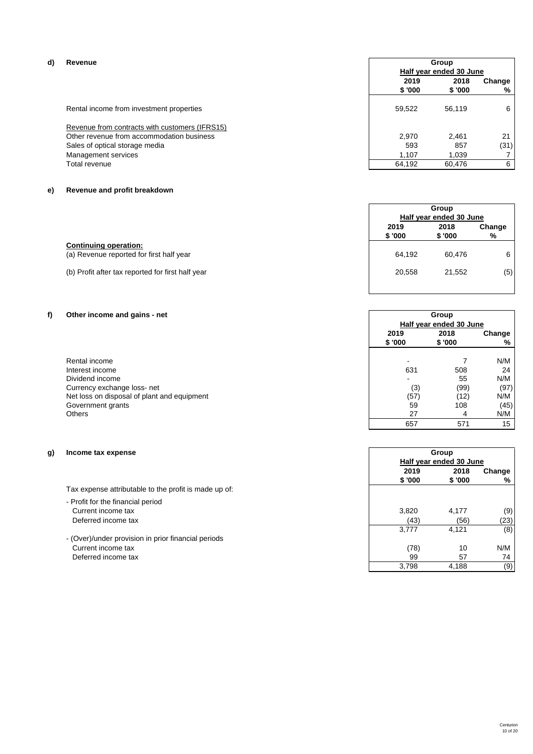| d) | Revenue                                        | Group<br>Half year ended 30 June |                |             |
|----|------------------------------------------------|----------------------------------|----------------|-------------|
|    |                                                | 2019<br>\$ '000                  | 2018<br>\$'000 | Change<br>% |
|    | Rental income from investment properties       | 59.522                           | 56.119         | 6           |
|    | Revenue from contracts with customers (IFRS15) |                                  |                |             |
|    | Other revenue from accommodation business      | 2,970                            | 2.461          | 21          |
|    | Sales of optical storage media                 | 593                              | 857            | (31)        |
|    | Management services                            | 1.107                            | 1.039          |             |
|    | Total revenue                                  | 64,192                           | 60.476         | 6           |

# **e) Revenue and profit breakdown**

|                                                   |        | Group                   |        |  |
|---------------------------------------------------|--------|-------------------------|--------|--|
|                                                   |        | Half year ended 30 June |        |  |
|                                                   | 2019   | 2018                    | Change |  |
|                                                   | \$'000 | \$'000                  | %      |  |
| <b>Continuing operation:</b>                      |        |                         |        |  |
| (a) Revenue reported for first half year          | 64.192 | 60.476                  | 6      |  |
|                                                   |        |                         |        |  |
| (b) Profit after tax reported for first half year | 20,558 | 21.552                  | (5)    |  |

# **f) Other income and gains - net**

|                                             |        | Half year ended 30 June |        |  |
|---------------------------------------------|--------|-------------------------|--------|--|
|                                             | 2019   | 2018                    | Change |  |
|                                             | \$'000 | \$'000                  | %      |  |
| Rental income                               |        |                         | N/M    |  |
| Interest income                             | 631    | 508                     | 24     |  |
| Dividend income                             |        | 55                      | N/M    |  |
| Currency exchange loss-net                  | (3)    | (99)                    | (97)   |  |
| Net loss on disposal of plant and equipment | (57)   | (12)                    | N/M    |  |
| Government grants                           | 59     | 108                     | (45)   |  |
| Others                                      | 27     | 4                       | N/M    |  |
|                                             |        |                         |        |  |

# **g) Income tax expense**

- Profit for the financial period Current income tax Deferred income tax
- (Over)/under provision in prior financial periods Current income tax Deferred income tax

|         | Group<br>Half year ended 30 June |        |
|---------|----------------------------------|--------|
| 2019    | 2018                             | Change |
| \$ '000 | \$'000                           | %      |
|         |                                  |        |
| 3,820   | 4,177                            | (9)    |
| (43)    | (56)                             | (23    |
| 3,777   | 4,121                            | (8     |
| (78)    | 10                               | N/M    |
| 99      | 57                               | 74     |
| 3,798   | 4,188                            | (9     |

**Group**

 $234$  657 571 15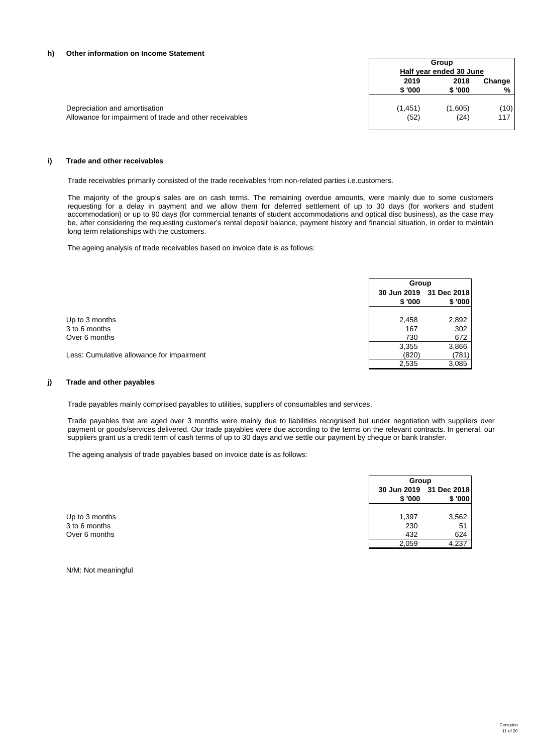# **h) Other information on Income Statement**

|                                                         |          | Group<br>Half year ended 30 June |        |
|---------------------------------------------------------|----------|----------------------------------|--------|
|                                                         | 2019     | 2018                             | Change |
|                                                         | \$ '000  | \$'000                           | %      |
| Depreciation and amortisation                           | (1, 451) | (1,605)                          | (10)   |
| Allowance for impairment of trade and other receivables | (52)     | (24)                             | 117    |

# **i) Trade and other receivables**

Trade receivables primarily consisted of the trade receivables from non-related parties i.e.customers.

The majority of the group's sales are on cash terms. The remaining overdue amounts, were mainly due to some customers requesting for a delay in payment and we allow them for deferred settlement of up to 30 days (for workers and student accommodation) or up to 90 days (for commercial tenants of student accommodations and optical disc business), as the case may be, after considering the requesting customer's rental deposit balance, payment history and financial situation, in order to maintain long term relationships with the customers.

The ageing analysis of trade receivables based on invoice date is as follows:

|                                           | Group        |                                   |
|-------------------------------------------|--------------|-----------------------------------|
|                                           | \$'000       | 30 Jun 2019 31 Dec 2018<br>\$'000 |
| Up to 3 months                            | 2,458        | 2,892                             |
| 3 to 6 months                             | 167          | 302                               |
| Over 6 months                             | 730<br>3,355 | 672<br>3,866                      |
| Less: Cumulative allowance for impairment | (820)        | (781)                             |
|                                           | 2,535        | 3,085                             |

# **j) Trade and other payables**

Trade payables mainly comprised payables to utilities, suppliers of consumables and services.

Trade payables that are aged over 3 months were mainly due to liabilities recognised but under negotiation with suppliers over payment or goods/services delivered. Our trade payables were due according to the terms on the relevant contracts. In general, our suppliers grant us a credit term of cash terms of up to 30 days and we settle our payment by cheque or bank transfer.

The ageing analysis of trade payables based on invoice date is as follows:

|                | Group  |                                   |
|----------------|--------|-----------------------------------|
|                | \$'000 | 30 Jun 2019 31 Dec 2018<br>\$'000 |
| Up to 3 months | 1,397  | 3,562                             |
| 3 to 6 months  | 230    | 51                                |
| Over 6 months  | 432    | 624                               |
|                | 2,059  | 4,237                             |

N/M: Not meaningful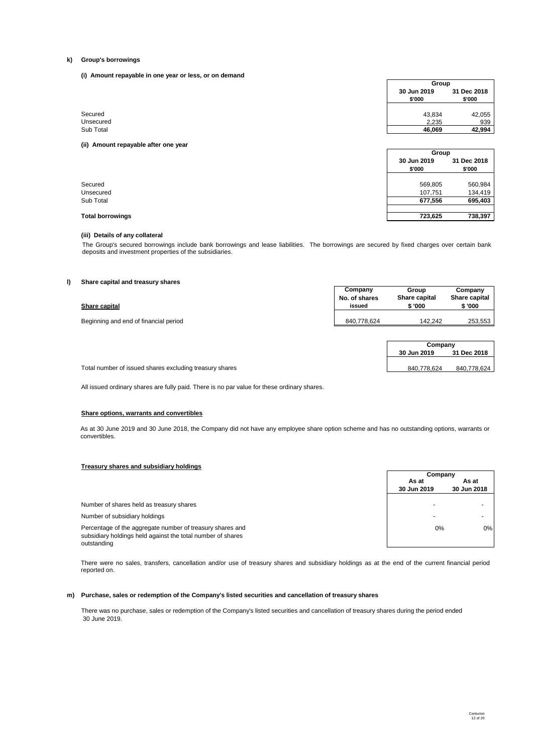## **k) Group's borrowings**

**(i) Amount repayable in one year or less, or on demand**

|                                      | Group                 |                       |
|--------------------------------------|-----------------------|-----------------------|
|                                      | 30 Jun 2019<br>\$'000 | 31 Dec 2018<br>\$'000 |
| Secured                              | 43,834                | 42,055                |
| Unsecured                            | 2,235                 | 939                   |
| Sub Total                            | 46,069                | 42,994                |
| (ii) Amount repayable after one year |                       |                       |
|                                      | Group                 |                       |
|                                      | 30 Jun 2019<br>\$'000 | 31 Dec 2018<br>\$'000 |

| Secured   | 569.805 | 560,984 |
|-----------|---------|---------|
| Unsecured | 107.751 | 134.419 |
| Sub Total | 677,556 | 695,403 |

## **Total borrowings 723,625 738,397**

## **(iii) Details of any collateral**

The Group's secured borrowings include bank borrowings and lease liabilities. The borrowings are secured by fixed charges over certain bank deposits and investment properties of the subsidiaries.

# **l) Share capital and treasury shares**

| .<br>Share capital                    | Company<br>No. of shares<br>issued | Group<br>Share capital<br>\$'000 | Company<br>Share capital<br>\$ '000 |
|---------------------------------------|------------------------------------|----------------------------------|-------------------------------------|
| Beginning and end of financial period | 840,778,624                        | 142.242                          | 253,553                             |
|                                       |                                    | Company<br>30 Jun 2019           | 31 Dec 2018                         |

Total number of issued shares excluding treasury shares 840,778,624 840,778,624 840,778,624

All issued ordinary shares are fully paid. There is no par value for these ordinary shares.

## **Share options, warrants and convertibles**

As at 30 June 2019 and 30 June 2018, the Company did not have any employee share option scheme and has no outstanding options, warrants or convertibles.

# **Treasury shares and subsidiary holdings**

|                                                                                                                                         | Company     |                          |
|-----------------------------------------------------------------------------------------------------------------------------------------|-------------|--------------------------|
|                                                                                                                                         | As at       | As at                    |
|                                                                                                                                         | 30 Jun 2019 | 30 Jun 2018              |
|                                                                                                                                         |             |                          |
| Number of shares held as treasury shares                                                                                                |             | $\overline{\phantom{a}}$ |
| Number of subsidiary holdings                                                                                                           |             |                          |
| Percentage of the aggregate number of treasury shares and<br>subsidiary holdings held against the total number of shares<br>outstanding | 0%          | 0%                       |

There were no sales, transfers, cancellation and/or use of treasury shares and subsidiary holdings as at the end of the current financial period reported on.

# **m) Purchase, sales or redemption of the Company's listed securities and cancellation of treasury shares**

There was no purchase, sales or redemption of the Company's listed securities and cancellation of treasury shares during the period ended 30 June 2019.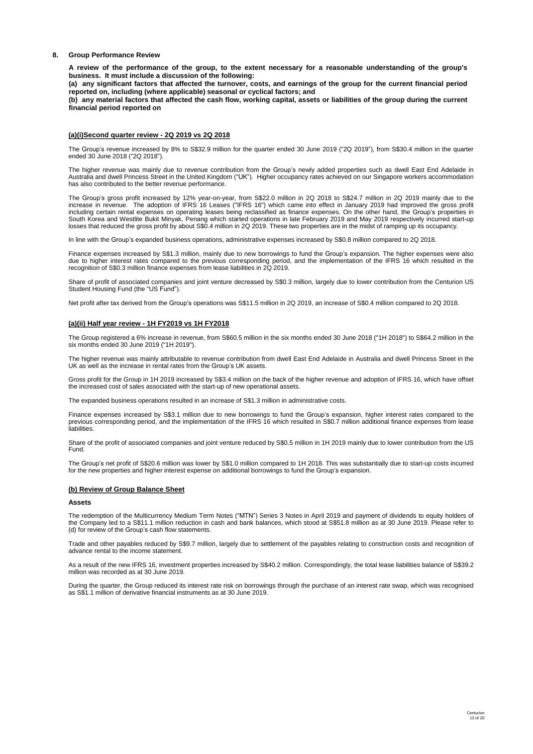# **8. Group Performance Review**

A review of the performance of the group, to the extent necessary for a reasonable understanding of the group's **business. It must include a discussion of the following:**

(a) any significant factors that affected the turnover, costs, and earnings of the group for the current financial period **reported on, including (where applicable) seasonal or cyclical factors; and**

(b) any material factors that affected the cash flow, working capital, assets or liabilities of the group during the current **financial period reported on**

# **(a)(i)Second quarter review - 2Q 2019 vs 2Q 2018**

The Group's revenue increased by 8% to S\$32.9 million for the quarter ended 30 June 2019 ("2Q 2019"), from S\$30.4 million in the quarter ended 30 June 2018 ("2Q 2018").

The higher revenue was mainly due to revenue contribution from the Group's newly added properties such as dwell East End Adelaide in Australia and dwell Princess Street in the United Kingdom ("UK"). Higher occupancy rates achieved on our Singapore workers accommodation has also contributed to the better revenue performance.

The Group's gross profit increased by 12% year-on-year, from S\$22.0 million in 2Q 2018 to S\$24.7 million in 2Q 2019 mainly due to the<br>increase in revenue. The adoption of IFRS 16 Leases ("IFRS 16") which came into effect i South Korea and Westlite Bukit Minyak, Penang which started operations in late February 2019 and May 2019 respectively incurred start-up<br>Iosses that reduced the gross profit by about S\$0.4 million in 2Q 2019. These two pro

In line with the Group's expanded business operations, administrative expenses increased by S\$0.8 million compared to 2Q 2018.

Finance expenses increased by S\$1.3 million, mainly due to new borrowings to fund the Group's expansion. The higher expenses were also due to higher interest rates compared to the previous corresponding period, and the implementation of the IFRS 16 which resulted in the recognition of S\$0.3 million finance expenses from lease liabilities in 2Q 2019.

Share of profit of associated companies and joint venture decreased by S\$0.3 million, largely due to lower contribution from the Centurion US Student Housing Fund (the "US Fund").

Net profit after tax derived from the Group's operations was S\$11.5 million in 2Q 2019, an increase of S\$0.4 million compared to 2Q 2018.

# **(a)(ii) Half year review - 1H FY2019 vs 1H FY2018**

The Group registered a 6% increase in revenue, from S\$60.5 million in the six months ended 30 June 2018 ("1H 2018") to S\$64.2 million in the six months ended 30 June 2019 ("1H 2019").

The higher revenue was mainly attributable to revenue contribution from dwell East End Adelaide in Australia and dwell Princess Street in the UK as well as the increase in rental rates from the Group's UK assets.

Gross profit for the Group in 1H 2019 increased by S\$3.4 million on the back of the higher revenue and adoption of IFRS 16, which have offset the increased cost of sales associated with the start-up of new operational assets.

The expanded business operations resulted in an increase of S\$1.3 million in administrative costs.

Finance expenses increased by S\$3.1 million due to new borrowings to fund the Group's expansion, higher interest rates compared to the<br>previous corresponding period, and the implementation of the IFRS 16 which resulted in **liabilities** 

Share of the profit of associated companies and joint venture reduced by S\$0.5 million in 1H 2019 mainly due to lower contribution from the US Fund.

The Group's net profit of S\$20.6 million was lower by S\$1.0 million compared to 1H 2018. This was substantially due to start-up costs incurred for the new properties and higher interest expense on additional borrowings to fund the Group's expansion.

# **(b) Review of Group Balance Sheet**

# **Assets**

The redemption of the Multicurrency Medium Term Notes ("MTN") Series 3 Notes in April 2019 and payment of dividends to equity holders of the Company led to a S\$11.1 million reduction in cash and bank balances, which stood at S\$51.8 million as at 30 June 2019. Please refer to (d) for review of the Group's cash flow statements.

Trade and other payables reduced by S\$9.7 million, largely due to settlement of the payables relating to construction costs and recognition of advance rental to the income statement.

As a result of the new IFRS 16, investment properties increased by S\$40.2 million. Correspondingly, the total lease liabilities balance of S\$39.2 million was recorded as at 30 June 2019.

During the quarter, the Group reduced its interest rate risk on borrowings through the purchase of an interest rate swap, which was recognised as S\$1.1 million of derivative financial instruments as at 30 June 2019.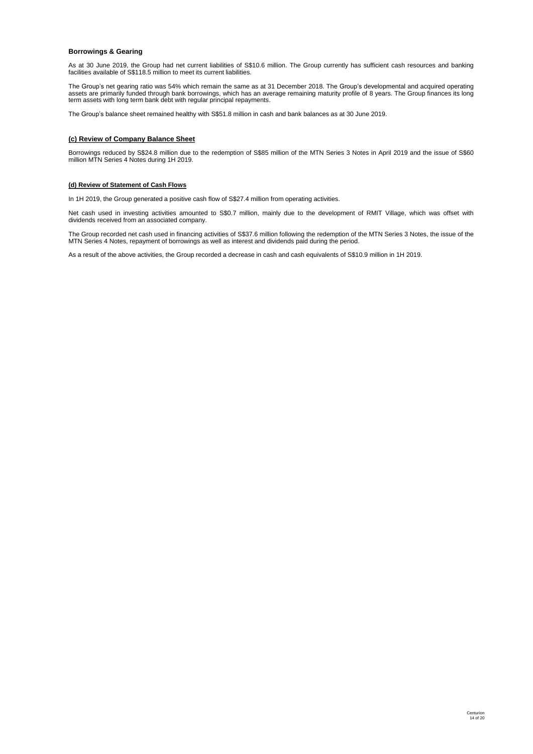# **Borrowings & Gearing**

As at 30 June 2019, the Group had net current liabilities of S\$10.6 million. The Group currently has sufficient cash resources and banking facilities available of S\$118.5 million to meet its current liabilities.

The Group's net gearing ratio was 54% which remain the same as at 31 December 2018. The Group's developmental and acquired operating<br>assets are primarily funded through bank borrowings, which has an average remaining matur term assets with long term bank debt with regular principal repayments.

The Group's balance sheet remained healthy with S\$51.8 million in cash and bank balances as at 30 June 2019.

# **(c) Review of Company Balance Sheet**

Borrowings reduced by S\$24.8 million due to the redemption of S\$85 million of the MTN Series 3 Notes in April 2019 and the issue of S\$60 million MTN Series 4 Notes during 1H 2019.

# **(d) Review of Statement of Cash Flows**

In 1H 2019, the Group generated a positive cash flow of S\$27.4 million from operating activities.

Net cash used in investing activities amounted to S\$0.7 million, mainly due to the development of RMIT Village, which was offset with dividends received from an associated company.

The Group recorded net cash used in financing activities of S\$37.6 million following the redemption of the MTN Series 3 Notes, the issue of the<br>MTN Series 4 Notes, repayment of borrowings as well as interest and dividends

As a result of the above activities, the Group recorded a decrease in cash and cash equivalents of S\$10.9 million in 1H 2019.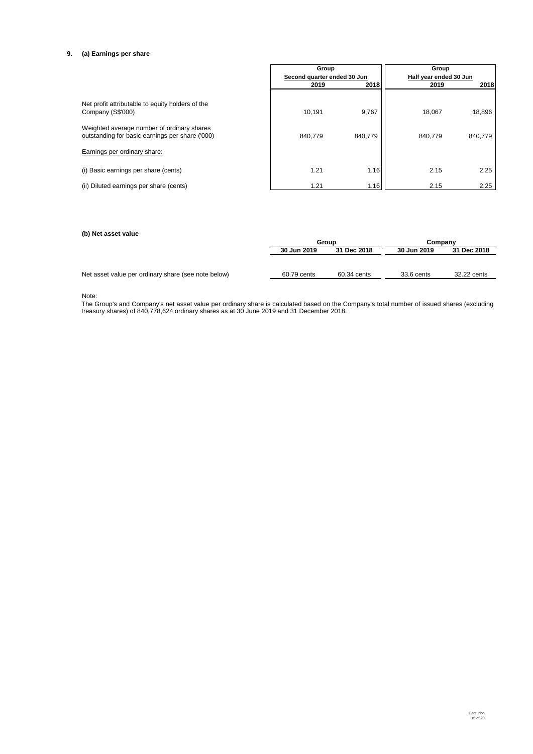# **9. (a) Earnings per share**

|                                                                                               | Group<br>Second quarter ended 30 Jun |         | Group<br>Half year ended 30 Jun |         |
|-----------------------------------------------------------------------------------------------|--------------------------------------|---------|---------------------------------|---------|
|                                                                                               | 2019                                 | 2018    | 2019                            | 2018    |
| Net profit attributable to equity holders of the<br>Company (S\$'000)                         | 10,191                               | 9,767   | 18.067                          | 18,896  |
| Weighted average number of ordinary shares<br>outstanding for basic earnings per share ('000) | 840.779                              | 840,779 | 840,779                         | 840,779 |
| Earnings per ordinary share:                                                                  |                                      |         |                                 |         |
| (i) Basic earnings per share (cents)                                                          | 1.21                                 | 1.16    | 2.15                            | 2.25    |
| (ii) Diluted earnings per share (cents)                                                       | 1.21                                 | 1.16    | 2.15                            | 2.25    |

# **(b) Net asset value**

|                                                     | Group       |             | Company     |             |
|-----------------------------------------------------|-------------|-------------|-------------|-------------|
|                                                     | 30 Jun 2019 | 31 Dec 2018 | 30 Jun 2019 | 31 Dec 2018 |
|                                                     |             |             |             |             |
|                                                     |             |             |             |             |
| Net asset value per ordinary share (see note below) | 60.79 cents | 60.34 cents | 33.6 cents  | 32.22 cents |

Note:

The Group's and Company's net asset value per ordinary share is calculated based on the Company's total number of issued shares (excluding treasury shares) of 840,778,624 ordinary shares as at 30 June 2019 and 31 December 2018.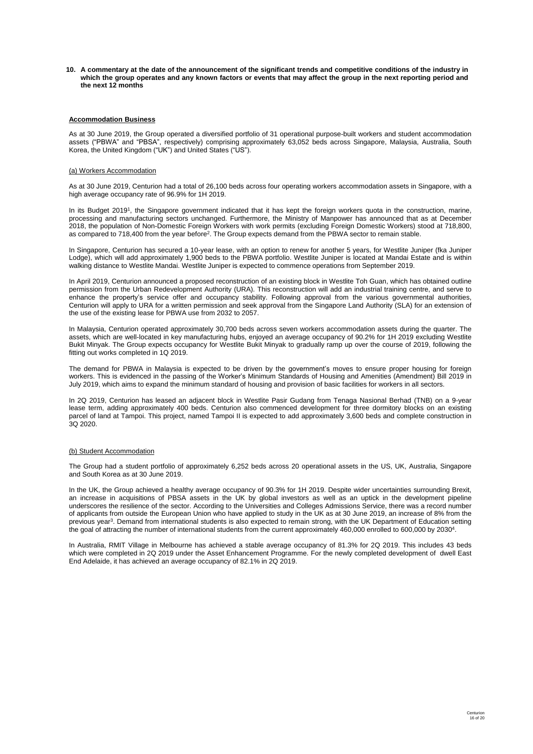10. A commentary at the date of the announcement of the significant trends and competitive conditions of the industry in which the group operates and any known factors or events that may affect the group in the next reporting period and **the next 12 months**

# **Accommodation Business**

As at 30 June 2019, the Group operated a diversified portfolio of 31 operational purpose-built workers and student accommodation assets ("PBWA" and "PBSA", respectively) comprising approximately 63,052 beds across Singapore, Malaysia, Australia, South Korea, the United Kingdom ("UK") and United States ("US").

## (a) Workers Accommodation

As at 30 June 2019, Centurion had a total of 26,100 beds across four operating workers accommodation assets in Singapore, with a high average occupancy rate of 96.9% for 1H 2019.

In its Budget 2019<sup>1</sup>, the Singapore government indicated that it has kept the foreign workers quota in the construction, marine, processing and manufacturing sectors unchanged. Furthermore, the Ministry of Manpower has announced that as at December 2018, the population of Non-Domestic Foreign Workers with work permits (excluding Foreign Domestic Workers) stood at 718,800, as compared to 718,400 from the year before<sup>2</sup>. The Group expects demand from the PBWA sector to remain stable.

In Singapore, Centurion has secured a 10-year lease, with an option to renew for another 5 years, for Westlite Juniper (fka Juniper Lodge), which will add approximately 1,900 beds to the PBWA portfolio. Westlite Juniper is located at Mandai Estate and is within walking distance to Westlite Mandai. Westlite Juniper is expected to commence operations from September 2019.

In April 2019, Centurion announced a proposed reconstruction of an existing block in Westlite Toh Guan, which has obtained outline permission from the Urban Redevelopment Authority (URA). This reconstruction will add an industrial training centre, and serve to enhance the property's service offer and occupancy stability. Following approval from the various governmental authorities, Centurion will apply to URA for a written permission and seek approval from the Singapore Land Authority (SLA) for an extension of the use of the existing lease for PBWA use from 2032 to 2057.

In Malaysia, Centurion operated approximately 30,700 beds across seven workers accommodation assets during the quarter. The assets, which are well-located in key manufacturing hubs, enjoyed an average occupancy of 90.2% for 1H 2019 excluding Westlite Bukit Minyak. The Group expects occupancy for Westlite Bukit Minyak to gradually ramp up over the course of 2019, following the fitting out works completed in 1Q 2019.

The demand for PBWA in Malaysia is expected to be driven by the government's moves to ensure proper housing for foreign workers. This is evidenced in the passing of the Worker's Minimum Standards of Housing and Amenities (Amendment) Bill 2019 in July 2019, which aims to expand the minimum standard of housing and provision of basic facilities for workers in all sectors.

In 2Q 2019, Centurion has leased an adjacent block in Westlite Pasir Gudang from Tenaga Nasional Berhad (TNB) on a 9-year lease term, adding approximately 400 beds. Centurion also commenced development for three dormitory blocks on an existing parcel of land at Tampoi. This project, named Tampoi II is expected to add approximately 3,600 beds and complete construction in 3Q 2020.

#### (b) Student Accommodation

The Group had a student portfolio of approximately 6,252 beds across 20 operational assets in the US, UK, Australia, Singapore and South Korea as at 30 June 2019.

In the UK, the Group achieved a healthy average occupancy of 90.3% for 1H 2019. Despite wider uncertainties surrounding Brexit, an increase in acquisitions of PBSA assets in the UK by global investors as well as an uptick in the development pipeline underscores the resilience of the sector. According to the Universities and Colleges Admissions Service, there was a record number of applicants from outside the European Union who have applied to study in the UK as at 30 June 2019, an increase of 8% from the previous year<sup>3</sup>. Demand from international students is also expected to remain strong, with the UK Department of Education setting the goal of attracting the number of international students from the current approximately 460,000 enrolled to 600,000 by 2030<sup>4</sup>.

In Australia, RMIT Village in Melbourne has achieved a stable average occupancy of 81.3% for 2Q 2019. This includes 43 beds which were completed in 2Q 2019 under the Asset Enhancement Programme. For the newly completed development of dwell East End Adelaide, it has achieved an average occupancy of 82.1% in 2Q 2019.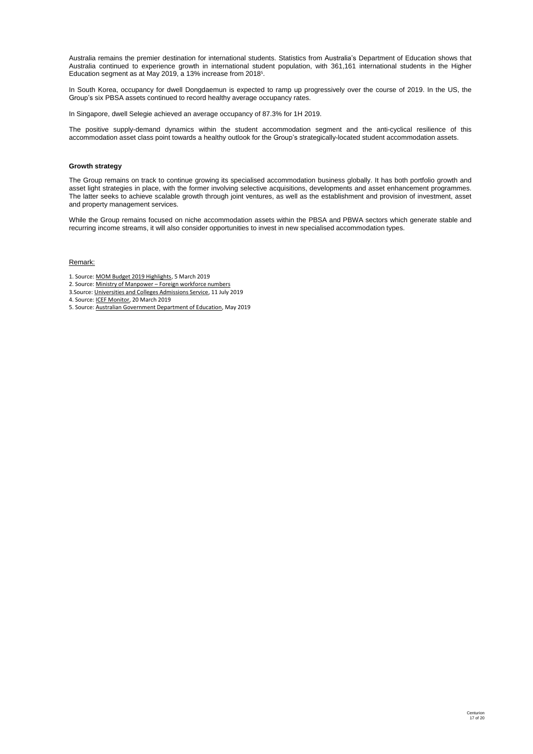Australia remains the premier destination for international students. Statistics from Australia's Department of Education shows that Australia continued to experience growth in international student population, with 361,161 international students in the Higher Education segment as at May 2019, a 13% increase from 2018<sup>5</sup>.

In South Korea, occupancy for dwell Dongdaemun is expected to ramp up progressively over the course of 2019. In the US, the Group's six PBSA assets continued to record healthy average occupancy rates.

In Singapore, dwell Selegie achieved an average occupancy of 87.3% for 1H 2019.

The positive supply-demand dynamics within the student accommodation segment and the anti-cyclical resilience of this accommodation asset class point towards a healthy outlook for the Group's strategically-located student accommodation assets.

# **Growth strategy**

The Group remains on track to continue growing its specialised accommodation business globally. It has both portfolio growth and asset light strategies in place, with the former involving selective acquisitions, developments and asset enhancement programmes. The latter seeks to achieve scalable growth through joint ventures, as well as the establishment and provision of investment, asset and property management services.

While the Group remains focused on niche accommodation assets within the PBSA and PBWA sectors which generate stable and recurring income streams, it will also consider opportunities to invest in new specialised accommodation types.

# Remark:

- 1. Source: MOM Budget 2019 Highlights, 5 March 2019
- 2. Source: Ministry of Manpower Foreign workforce numbers
- 3.Source: Universities and Colleges Admissions Service, 11 July 2019
- 4. Source: ICEF Monitor, 20 March 2019
- 5. Source: Australian Government Department of Education, May 2019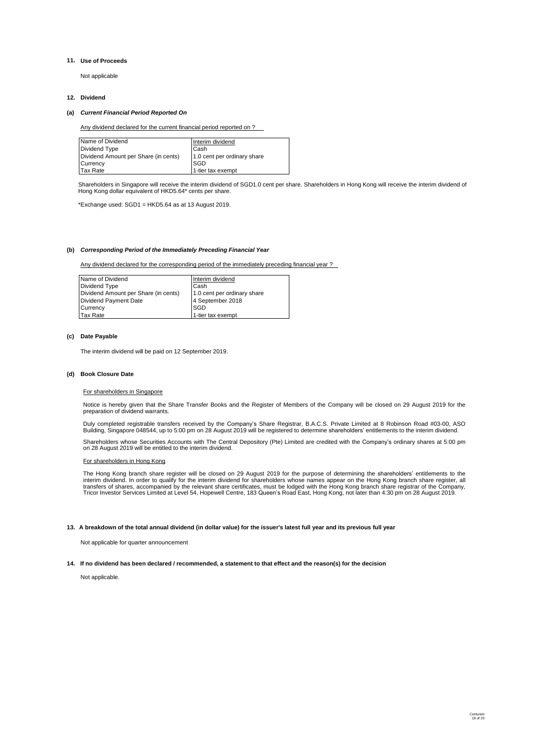#### **11. Use of Proceeds**

Not applicable

#### **12. Dividend**  $\blacksquare$

# **(a)** *Current Financial Period Reported On*

Any dividend declared for the current financial period reported on ?

| Name of Dividend                     | Interim dividend            |
|--------------------------------------|-----------------------------|
| Dividend Type                        | Cash                        |
| Dividend Amount per Share (in cents) | 1.0 cent per ordinary share |
| Currency                             | <b>SGD</b>                  |
| Tax Rate                             | 1-tier tax exempt           |

Shareholders in Singapore will receive the interim dividend of SGD1.0 cent per share. Shareholders in Hong Kong will receive the interim dividend of Hong Kong dollar equivalent of HKD5.64\* cents per share.

\*Exchange used: SGD1 = HKD5.64 as at 13 August 2019.

## **(b)** *Corresponding Period of the Immediately Preceding Financial Year*

Any dividend declared for the corresponding period of the immediately preceding financial year ?

| Name of Dividend                     | Interim dividend            |
|--------------------------------------|-----------------------------|
| Dividend Type                        | Cash                        |
| Dividend Amount per Share (in cents) | 1.0 cent per ordinary share |
| Dividend Payment Date                | 4 September 2018            |
| Currency                             | <b>ISGD</b>                 |
| Tax Rate                             | 1-tier tax exempt           |

# **(c) Date Payable**

The interim dividend will be paid on 12 September 2019.

## **(d) Book Closure Date**

#### For shareholders in Singapore

Notice is hereby given that the Share Transfer Books and the Register of Members of the Company will be closed on 29 August 2019 for the preparation of dividend warrants.

Duly completed registrable transfers received by the Company's Share Registrar, B.A.C.S. Private Limited at 8 Robinson Road #03-00, ASO<br>Building, Singapore 048544, up to 5:00 pm on 28 August 2019 will be registered to dete

Shareholders whose Securities Accounts with The Central Depository (Pte) Limited are credited with the Company's ordinary shares at 5:00 pm on 28 August 2019 will be entitled to the interim dividend.

#### For shareholders in Hong Kong

The Hong Kong branch share register will be closed on 29 August 2019 for the purpose of determining the shareholders' entitlements to the<br>interim dividend. In order to qualify for the interim dividend for shareholders whos

#### **13. A breakdown of the total annual dividend (in dollar value) for the issuer's latest full year and its previous full year**

Not applicable for quarter announcement

#### **14. If no dividend has been declared / recommended, a statement to that effect and the reason(s) for the decision**

Not applicable.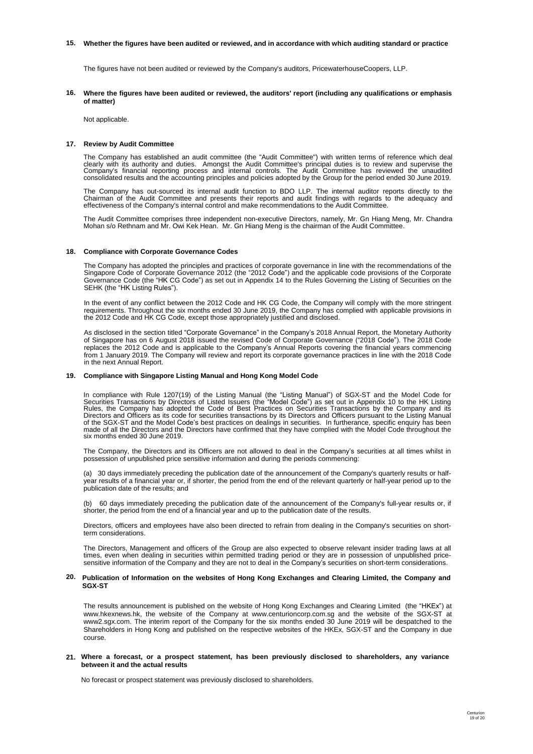#### 15. Whether the figures have been audited or reviewed, and in accordance with which auditing standard or practice

The figures have not been audited or reviewed by the Company's auditors, PricewaterhouseCoopers, LLP.

16. Where the figures have been audited or reviewed, the auditors' report (including any qualifications or emphasis **of matter)**

Not applicable.

#### **17. Review by Audit Committee**

The Company has established an audit committee (the "Audit Committee") with written terms of reference which deal<br>clearly with its authority and duties. Amongst the Audit Committee's principal duties is to review and super

The Company has out-sourced its internal audit function to BDO LLP. The internal auditor reports directly to the Chairman of the Audit Committee and presents their reports and audit findings with regards to the adequacy and effectiveness of the Company's internal control and make recommendations to the Audit Committee.

The Audit Committee comprises three independent non-executive Directors, namely, Mr. Gn Hiang Meng, Mr. Chandra Mohan s/o Rethnam and Mr. Owi Kek Hean. Mr. Gn Hiang Meng is the chairman of the Audit Committee.

#### **18. Compliance with Corporate Governance Codes**

The Company has adopted the principles and practices of corporate governance in line with the recommendations of the Singapore Code of Corporate Governance 2012 (the "2012 Code") and the applicable code provisions of the Corporate Governance Code (the "HK CG Code") as set out in Appendix 14 to the Rules Governing the Listing of Securities on the SEHK (the "HK Listing Rules").

In the event of any conflict between the 2012 Code and HK CG Code, the Company will comply with the more stringent requirements. Throughout the six months ended 30 June 2019, the Company has complied with applicable provisions in the 2012 Code and HK CG Code, except those appropriately justified and disclosed.

As disclosed in the section titled "Corporate Governance" in the Company's 2018 Annual Report, the Monetary Authority of Singapore has on 6 August 2018 issued the revised Code of Corporate Governance ("2018 Code"). The 2018 Code replaces the 2012 Code and is applicable to the Company's Annual Reports covering the financial years commencing from 1 January 2019. The Company will review and report its corporate governance practices in line with the 2018 Code in the next Annual Report.

# **19. Compliance with Singapore Listing Manual and Hong Kong Model Code**

In compliance with Rule 1207(19) of the Listing Manual (the "Listing Manual") of SGX-ST and the Model Code for<br>Securities Transactions by Directors of Listed Issuers (the "Model Code") as set out in Appendix 10 to the HK L Directors and Officers as its code for securities transactions by its Directors and Officers pursuant to the Listing Manual<br>of the SGX-ST and the Model Code's best practices on dealings in securities. In furtherance, speci six months ended 30 June 2019.

The Company, the Directors and its Officers are not allowed to deal in the Company's securities at all times whilst in possession of unpublished price sensitive information and during the periods commencing:

(a) 30 days immediately preceding the publication date of the announcement of the Company's quarterly results or halfyear results of a financial year or, if shorter, the period from the end of the relevant quarterly or half-year period up to the publication date of the results; and

(b) 60 days immediately preceding the publication date of the announcement of the Company's full-year results or, if shorter, the period from the end of a financial year and up to the publication date of the results.

Directors, officers and employees have also been directed to refrain from dealing in the Company's securities on shortterm considerations.

The Directors, Management and officers of the Group are also expected to observe relevant insider trading laws at all times, even when dealing in securities within permitted trading period or they are in possession of unpublished pricesensitive information of the Company and they are not to deal in the Company's securities on short-term considerations.

#### 20. Publication of Information on the websites of Hong Kong Exchanges and Clearing Limited, the Company and **SGX-ST**

The results announcement is published on the website of Hong Kong Exchanges and Clearing Limited (the "HKEx") at www.hkexnews.hk, the website of the Company at www.centurioncorp.com.sg and the website of the SGX-ST at www2.sgx.com. The interim report of the Company for the six months ended 30 June 2019 will be despatched to the Shareholders in Hong Kong and published on the respective websites of the HKEx, SGX-ST and the Company in due course.

#### **21. Where a forecast, or a prospect statement, has been previously disclosed to shareholders, any variance between it and the actual results**

No forecast or prospect statement was previously disclosed to shareholders.